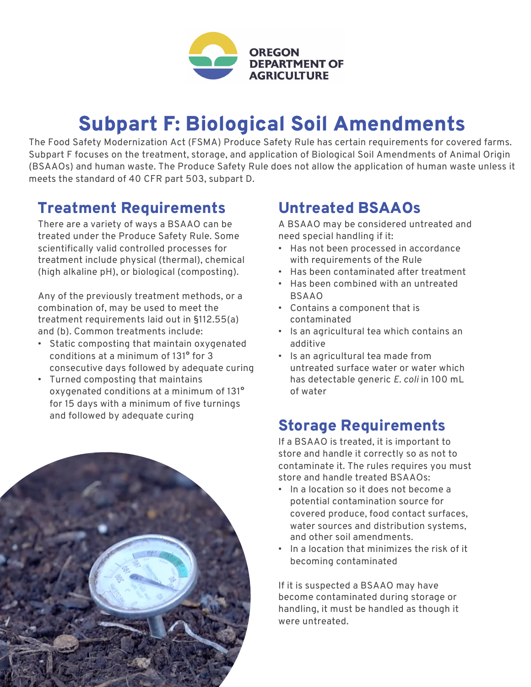

# Subpart F: Biological Soil Amendments

The Food Safety Modernization Act (FSMA) Produce Safety Rule has certain requirements for covered farms. Subpart F focuses on the treatment, storage, and application of Biological Soil Amendments of Animal Origin (BSAAOs) and human waste. The Produce Safety Rule does not allow the application of human waste unless it meets the standard of 40 CFR part 503, subpart D.

#### Treatment Requirements

There are a variety of ways a BSAAO can be treated under the Produce Safety Rule. Some scientifically valid controlled processes for treatment include physical (thermal), chemical (high alkaline pH), or biological (composting).

Any of the previously treatment methods, or a combination of, may be used to meet the treatment requirements laid out in §112.55(a) and (b). Common treatments include:

- Static composting that maintain oxygenated conditions at a minimum of 131° for 3 consecutive days followed by adequate curing
- Turned composting that maintains oxygenated conditions at a minimum of 131° for 15 days with a minimum of five turnings and followed by adequate curing



## Untreated BSAAOs

A BSAAO may be considered untreated and need special handling if it:

- Has not been processed in accordance with requirements of the Rule
- Has been contaminated after treatment
- Has been combined with an untreated BSAAO
- Contains a component that is contaminated
- Is an agricultural tea which contains an additive
- Is an agricultural tea made from untreated surface water or water which has detectable generic *E. coli* in 100 mL of water

### Storage Requirements

If a BSAAO is treated, it is important to store and handle it correctly so as not to contaminate it. The rules requires you must store and handle treated BSAAOs:

- In a location so it does not become a potential contamination source for covered produce, food contact surfaces, water sources and distribution systems, and other soil amendments.
- In a location that minimizes the risk of it becoming contaminated

If it is suspected a BSAAO may have become contaminated during storage or handling, it must be handled as though it were untreated.